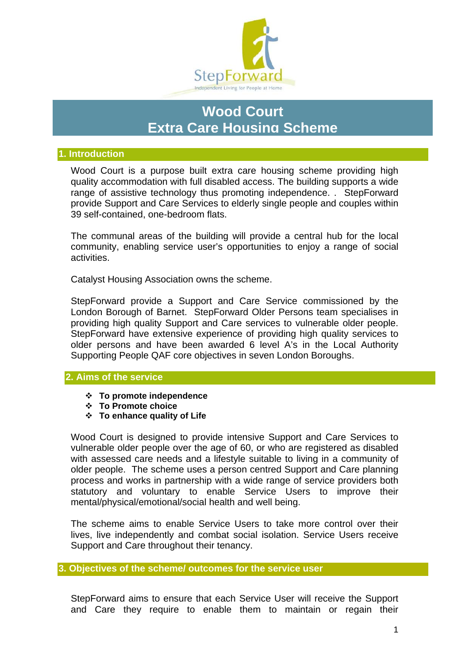

# **Wood Court Extra Care Housing Scheme**

#### **1. Introduction**

Wood Court is a purpose built extra care housing scheme providing high quality accommodation with full disabled access. The building supports a wide range of assistive technology thus promoting independence. . StepForward provide Support and Care Services to elderly single people and couples within 39 self-contained, one-bedroom flats.

The communal areas of the building will provide a central hub for the local community, enabling service user's opportunities to enjoy a range of social activities.

Catalyst Housing Association owns the scheme.

StepForward provide a Support and Care Service commissioned by the London Borough of Barnet. StepForward Older Persons team specialises in providing high quality Support and Care services to vulnerable older people. StepForward have extensive experience of providing high quality services to older persons and have been awarded 6 level A's in the Local Authority Supporting People QAF core objectives in seven London Boroughs.

#### **2. Aims of the service**

- **To promote independence**
- **To Promote choice**
- **To enhance quality of Life**

Wood Court is designed to provide intensive Support and Care Services to vulnerable older people over the age of 60, or who are registered as disabled with assessed care needs and a lifestyle suitable to living in a community of older people. The scheme uses a person centred Support and Care planning process and works in partnership with a wide range of service providers both statutory and voluntary to enable Service Users to improve their mental/physical/emotional/social health and well being.

The scheme aims to enable Service Users to take more control over their lives, live independently and combat social isolation. Service Users receive Support and Care throughout their tenancy.

#### **3. Objectives of the scheme/ outcomes for the service user**

StepForward aims to ensure that each Service User will receive the Support and Care they require to enable them to maintain or regain their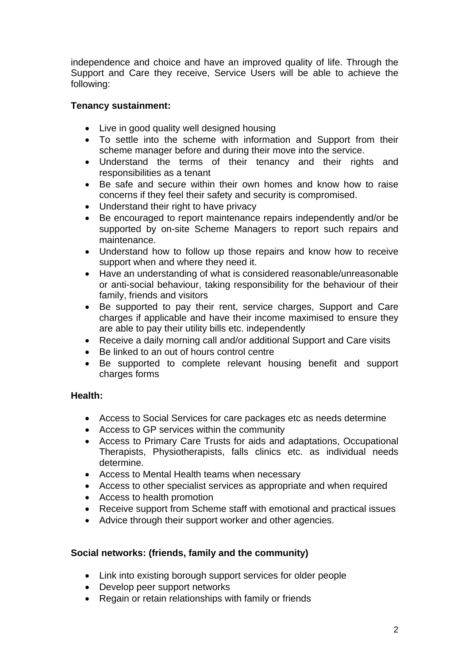independence and choice and have an improved quality of life. Through the Support and Care they receive, Service Users will be able to achieve the following:

## **Tenancy sustainment:**

- Live in good quality well designed housing
- To settle into the scheme with information and Support from their scheme manager before and during their move into the service.
- Understand the terms of their tenancy and their rights and responsibilities as a tenant
- Be safe and secure within their own homes and know how to raise concerns if they feel their safety and security is compromised.
- Understand their right to have privacy
- Be encouraged to report maintenance repairs independently and/or be supported by on-site Scheme Managers to report such repairs and maintenance.
- Understand how to follow up those repairs and know how to receive support when and where they need it.
- Have an understanding of what is considered reasonable/unreasonable or anti-social behaviour, taking responsibility for the behaviour of their family, friends and visitors
- Be supported to pay their rent, service charges, Support and Care charges if applicable and have their income maximised to ensure they are able to pay their utility bills etc. independently
- Receive a daily morning call and/or additional Support and Care visits
- Be linked to an out of hours control centre
- Be supported to complete relevant housing benefit and support charges forms

## **Health:**

- Access to Social Services for care packages etc as needs determine
- Access to GP services within the community
- Access to Primary Care Trusts for aids and adaptations, Occupational Therapists, Physiotherapists, falls clinics etc. as individual needs determine.
- Access to Mental Health teams when necessary
- Access to other specialist services as appropriate and when required
- Access to health promotion
- Receive support from Scheme staff with emotional and practical issues
- Advice through their support worker and other agencies.

## **Social networks: (friends, family and the community)**

- Link into existing borough support services for older people
- Develop peer support networks
- Regain or retain relationships with family or friends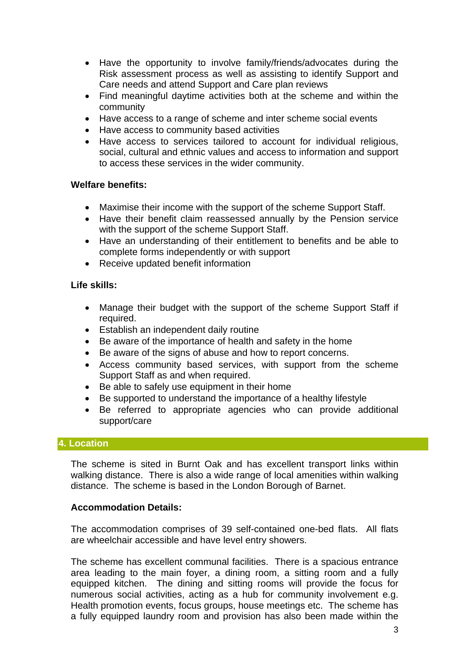- Have the opportunity to involve family/friends/advocates during the Risk assessment process as well as assisting to identify Support and Care needs and attend Support and Care plan reviews
- Find meaningful daytime activities both at the scheme and within the community
- Have access to a range of scheme and inter scheme social events
- Have access to community based activities
- Have access to services tailored to account for individual religious, social, cultural and ethnic values and access to information and support to access these services in the wider community.

#### **Welfare benefits:**

- Maximise their income with the support of the scheme Support Staff.
- Have their benefit claim reassessed annually by the Pension service with the support of the scheme Support Staff.
- Have an understanding of their entitlement to benefits and be able to complete forms independently or with support
- Receive updated benefit information

#### **Life skills:**

- Manage their budget with the support of the scheme Support Staff if required.
- Establish an independent daily routine
- Be aware of the importance of health and safety in the home
- Be aware of the signs of abuse and how to report concerns.
- Access community based services, with support from the scheme Support Staff as and when required.
- Be able to safely use equipment in their home
- Be supported to understand the importance of a healthy lifestyle
- Be referred to appropriate agencies who can provide additional support/care

#### **4. Location**

The scheme is sited in Burnt Oak and has excellent transport links within walking distance. There is also a wide range of local amenities within walking distance. The scheme is based in the London Borough of Barnet.

#### **Accommodation Details:**

The accommodation comprises of 39 self-contained one-bed flats. All flats are wheelchair accessible and have level entry showers.

The scheme has excellent communal facilities. There is a spacious entrance area leading to the main foyer, a dining room, a sitting room and a fully equipped kitchen. The dining and sitting rooms will provide the focus for numerous social activities, acting as a hub for community involvement e.g. Health promotion events, focus groups, house meetings etc. The scheme has a fully equipped laundry room and provision has also been made within the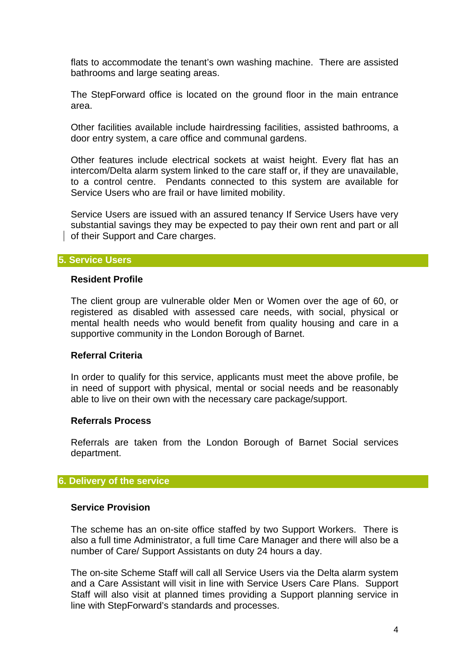flats to accommodate the tenant's own washing machine. There are assisted bathrooms and large seating areas.

The StepForward office is located on the ground floor in the main entrance area.

Other facilities available include hairdressing facilities, assisted bathrooms, a door entry system, a care office and communal gardens.

Other features include electrical sockets at waist height. Every flat has an intercom/Delta alarm system linked to the care staff or, if they are unavailable, to a control centre. Pendants connected to this system are available for Service Users who are frail or have limited mobility.

Service Users are issued with an assured tenancy If Service Users have very substantial savings they may be expected to pay their own rent and part or all of their Support and Care charges.

#### **5. Service Users**

#### **Resident Profile**

The client group are vulnerable older Men or Women over the age of 60, or registered as disabled with assessed care needs, with social, physical or mental health needs who would benefit from quality housing and care in a supportive community in the London Borough of Barnet.

#### **Referral Criteria**

In order to qualify for this service, applicants must meet the above profile, be in need of support with physical, mental or social needs and be reasonably able to live on their own with the necessary care package/support.

#### **Referrals Process**

Referrals are taken from the London Borough of Barnet Social services department.

#### **6. Delivery of the service**

#### **Service Provision**

The scheme has an on-site office staffed by two Support Workers. There is also a full time Administrator, a full time Care Manager and there will also be a number of Care/ Support Assistants on duty 24 hours a day.

The on-site Scheme Staff will call all Service Users via the Delta alarm system and a Care Assistant will visit in line with Service Users Care Plans. Support Staff will also visit at planned times providing a Support planning service in line with StepForward's standards and processes.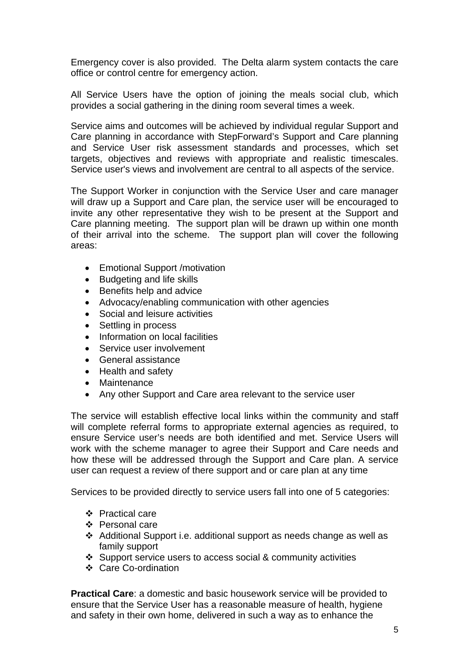Emergency cover is also provided. The Delta alarm system contacts the care office or control centre for emergency action.

All Service Users have the option of joining the meals social club, which provides a social gathering in the dining room several times a week.

Service aims and outcomes will be achieved by individual regular Support and Care planning in accordance with StepForward's Support and Care planning and Service User risk assessment standards and processes, which set targets, objectives and reviews with appropriate and realistic timescales. Service user's views and involvement are central to all aspects of the service.

The Support Worker in conjunction with the Service User and care manager will draw up a Support and Care plan, the service user will be encouraged to invite any other representative they wish to be present at the Support and Care planning meeting. The support plan will be drawn up within one month of their arrival into the scheme. The support plan will cover the following areas:

- Emotional Support /motivation
- Budgeting and life skills
- Benefits help and advice
- Advocacy/enabling communication with other agencies
- Social and leisure activities
- Settling in process
- Information on local facilities
- Service user involvement
- General assistance
- Health and safety
- Maintenance
- Any other Support and Care area relevant to the service user

The service will establish effective local links within the community and staff will complete referral forms to appropriate external agencies as required, to ensure Service user's needs are both identified and met. Service Users will work with the scheme manager to agree their Support and Care needs and how these will be addressed through the Support and Care plan. A service user can request a review of there support and or care plan at any time

Services to be provided directly to service users fall into one of 5 categories:

- Practical care
- ❖ Personal care
- Additional Support i.e. additional support as needs change as well as family support
- Support service users to access social & community activities
- ❖ Care Co-ordination

**Practical Care**: a domestic and basic housework service will be provided to ensure that the Service User has a reasonable measure of health, hygiene and safety in their own home, delivered in such a way as to enhance the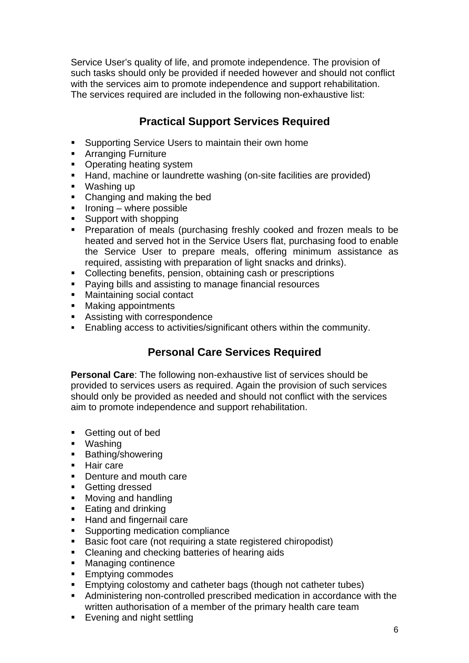Service User's quality of life, and promote independence. The provision of such tasks should only be provided if needed however and should not conflict with the services aim to promote independence and support rehabilitation. The services required are included in the following non-exhaustive list:

## **Practical Support Services Required**

- Supporting Service Users to maintain their own home
- **Arranging Furniture**
- **Operating heating system**
- Hand, machine or laundrette washing (on-site facilities are provided)
- Washing up
- Changing and making the bed
- $\blacksquare$  Ironing where possible
- Support with shopping
- **Preparation of meals (purchasing freshly cooked and frozen meals to be** heated and served hot in the Service Users flat, purchasing food to enable the Service User to prepare meals, offering minimum assistance as required, assisting with preparation of light snacks and drinks).
- Collecting benefits, pension, obtaining cash or prescriptions
- Paying bills and assisting to manage financial resources
- **Maintaining social contact**
- **Making appointments**
- **Assisting with correspondence**
- Enabling access to activities/significant others within the community.

## **Personal Care Services Required**

**Personal Care**: The following non-exhaustive list of services should be provided to services users as required. Again the provision of such services should only be provided as needed and should not conflict with the services aim to promote independence and support rehabilitation.

- **Getting out of bed**
- Washing
- **Bathing/showering**
- **Hair care**
- Denture and mouth care
- **Getting dressed**
- **Moving and handling**
- Eating and drinking
- Hand and fingernail care
- **Supporting medication compliance**
- Basic foot care (not requiring a state registered chiropodist)
- Cleaning and checking batteries of hearing aids
- **Managing continence**
- **Emptying commodes**
- **Emptying colostomy and catheter bags (though not catheter tubes)**
- Administering non-controlled prescribed medication in accordance with the written authorisation of a member of the primary health care team
- **Evening and night settling**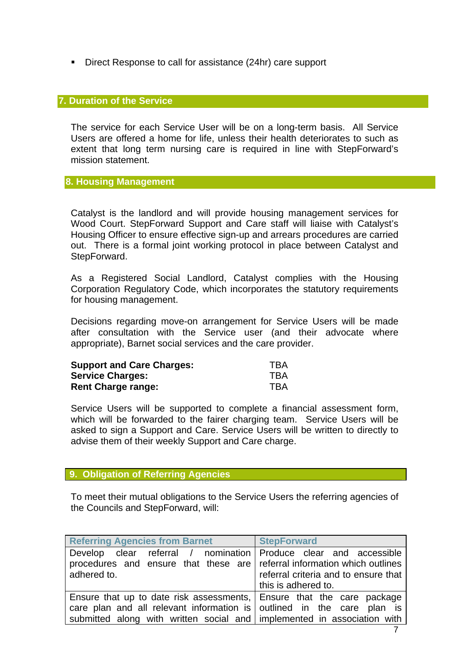■ Direct Response to call for assistance (24hr) care support

#### **7. Duration of the Service**

The service for each Service User will be on a long-term basis. All Service Users are offered a home for life, unless their health deteriorates to such as extent that long term nursing care is required in line with StepForward's mission statement.

#### **8. Housing Management**

Catalyst is the landlord and will provide housing management services for Wood Court. StepForward Support and Care staff will liaise with Catalyst's Housing Officer to ensure effective sign-up and arrears procedures are carried out. There is a formal joint working protocol in place between Catalyst and StepForward.

As a Registered Social Landlord, Catalyst complies with the Housing Corporation Regulatory Code, which incorporates the statutory requirements for housing management.

Decisions regarding move-on arrangement for Service Users will be made after consultation with the Service user (and their advocate where appropriate), Barnet social services and the care provider.

| <b>Support and Care Charges:</b> | TBA        |
|----------------------------------|------------|
| <b>Service Charges:</b>          | <b>TBA</b> |
| <b>Rent Charge range:</b>        | TBA        |

Service Users will be supported to complete a financial assessment form, which will be forwarded to the fairer charging team. Service Users will be asked to sign a Support and Care. Service Users will be written to directly to advise them of their weekly Support and Care charge.

#### **9. Obligation of Referring Agencies**

To meet their mutual obligations to the Service Users the referring agencies of the Councils and StepForward, will:

| <b>Referring Agencies from Barnet</b>                                                                                                                         | <b>StepForward</b>                                          |
|---------------------------------------------------------------------------------------------------------------------------------------------------------------|-------------------------------------------------------------|
| Develop clear referral / nomination   Produce clear and accessible<br>procedures and ensure that these are referral information which outlines<br>adhered to. | referral criteria and to ensure that<br>this is adhered to. |
| Ensure that up to date risk assessments, Ensure that the care package                                                                                         |                                                             |
| care plan and all relevant information is outlined in the care plan is                                                                                        |                                                             |
| submitted along with written social and implemented in association with                                                                                       |                                                             |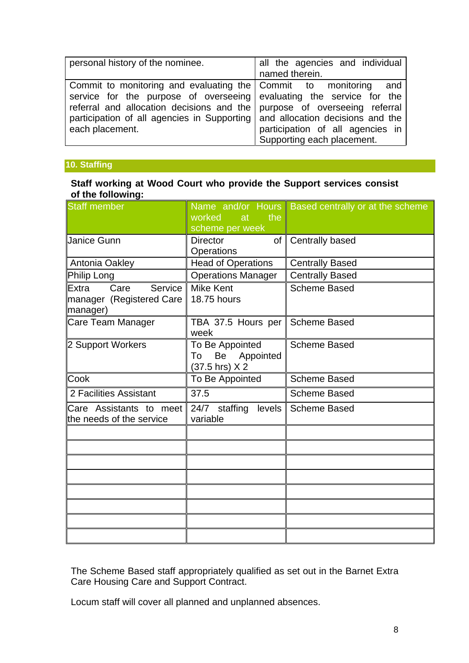| personal history of the nominee.                                                                                                                                                                                                                                                                                        | all the agencies and individual<br>named therein.              |
|-------------------------------------------------------------------------------------------------------------------------------------------------------------------------------------------------------------------------------------------------------------------------------------------------------------------------|----------------------------------------------------------------|
| Commit to monitoring and evaluating the Commit to monitoring and<br>service for the purpose of overseeing evaluating the service for the<br>referral and allocation decisions and the purpose of overseeing referral<br>participation of all agencies in Supporting and allocation decisions and the<br>each placement. | participation of all agencies in<br>Supporting each placement. |

### **10. Staffing**

#### **Staff working at Wood Court who provide the Support services consist of the following:**

| <b>Staff member</b>                                              | the<br>worked<br>at<br>scheme per week                     | Name and/or Hours Based centrally or at the scheme |
|------------------------------------------------------------------|------------------------------------------------------------|----------------------------------------------------|
| Uanice Gunn                                                      | <b>Director</b><br><b>Operations</b>                       | of   Centrally based                               |
| Antonia Oakley                                                   | <b>Head of Operations</b>                                  | <b>Centrally Based</b>                             |
| Philip Long                                                      | <b>Operations Manager</b>                                  | <b>Centrally Based</b>                             |
| Service<br>Care<br>Extra<br>manager (Registered Care<br>manager) | <b>Mike Kent</b><br>18.75 hours                            | <b>Scheme Based</b>                                |
| Care Team Manager                                                | TBA 37.5 Hours per<br>week                                 | <b>Scheme Based</b>                                |
| 2 Support Workers                                                | To Be Appointed<br>Be<br>Appointed<br>To<br>(37.5 hrs) X 2 | <b>Scheme Based</b>                                |
| <b>Cook</b>                                                      | To Be Appointed                                            | <b>Scheme Based</b>                                |
| 2 Facilities Assistant                                           | 37.5                                                       | <b>Scheme Based</b>                                |
| Care Assistants to meet<br>the needs of the service              | 24/7 staffing<br>levels<br>variable                        | <b>Scheme Based</b>                                |
|                                                                  |                                                            |                                                    |
|                                                                  |                                                            |                                                    |
|                                                                  |                                                            |                                                    |
|                                                                  |                                                            |                                                    |
|                                                                  |                                                            |                                                    |
|                                                                  |                                                            |                                                    |
|                                                                  |                                                            |                                                    |
|                                                                  |                                                            |                                                    |

The Scheme Based staff appropriately qualified as set out in the Barnet Extra Care Housing Care and Support Contract.

Locum staff will cover all planned and unplanned absences.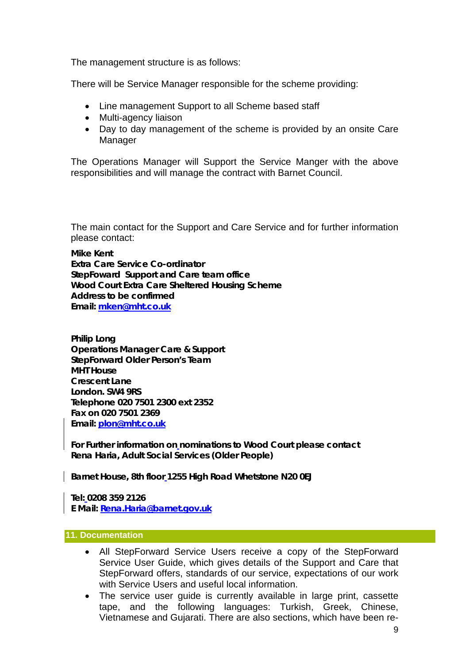The management structure is as follows:

There will be Service Manager responsible for the scheme providing:

- Line management Support to all Scheme based staff
- Multi-agency liaison
- Day to day management of the scheme is provided by an onsite Care Manager

The Operations Manager will Support the Service Manger with the above responsibilities and will manage the contract with Barnet Council.

The main contact for the Support and Care Service and for further information please contact:

**Mike Kent Extra Care Service Co-ordinator StepFoward Support and Care team office Wood Court Extra Care Sheltered Housing Scheme Address to be confirmed Email: mken@mht.co.uk**

**Philip Long Operations Manager Care & Support StepForward Older Person's Team MHT House Crescent Lane London. SW4 9RS Telephone 020 7501 2300 ext 2352 Fax on 020 7501 2369 Email: plon@mht.co.uk**

**For Further information on nominations to Wood Court please contact Rena Haria, Adult Social Services (Older People)** 

**Barnet House, 8th floor 1255 High Road Whetstone N20 0EJ** 

**Tel: 0208 359 2126 E Mail: Rena.Haria@barnet.gov.uk**

#### **11. Documentation**

- All StepForward Service Users receive a copy of the StepForward Service User Guide, which gives details of the Support and Care that StepForward offers, standards of our service, expectations of our work with Service Users and useful local information
- The service user guide is currently available in large print, cassette tape, and the following languages: Turkish, Greek, Chinese, Vietnamese and Gujarati. There are also sections, which have been re-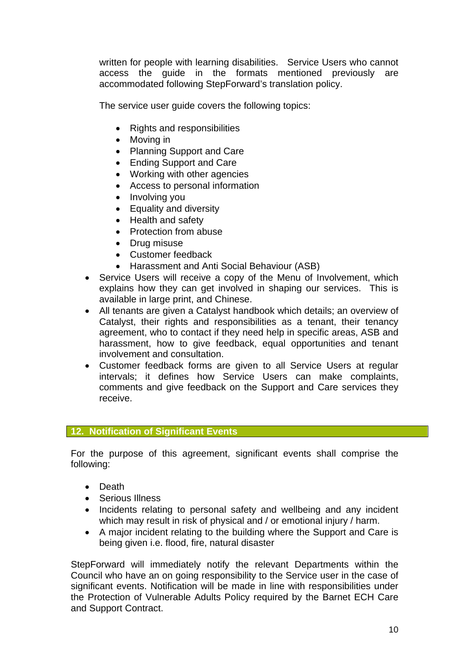written for people with learning disabilities. Service Users who cannot access the guide in the formats mentioned previously are accommodated following StepForward's translation policy.

The service user guide covers the following topics:

- Rights and responsibilities
- Moving in
- Planning Support and Care
- Ending Support and Care
- Working with other agencies
- Access to personal information
- Involving you
- Equality and diversity
- Health and safety
- Protection from abuse
- Drug misuse
- Customer feedback
- Harassment and Anti Social Behaviour (ASB)
- Service Users will receive a copy of the Menu of Involvement, which explains how they can get involved in shaping our services. This is available in large print, and Chinese.
- All tenants are given a Catalyst handbook which details; an overview of Catalyst, their rights and responsibilities as a tenant, their tenancy agreement, who to contact if they need help in specific areas, ASB and harassment, how to give feedback, equal opportunities and tenant involvement and consultation.
- Customer feedback forms are given to all Service Users at regular intervals; it defines how Service Users can make complaints, comments and give feedback on the Support and Care services they receive.

#### **12. Notification of Significant Events**

For the purpose of this agreement, significant events shall comprise the following:

- Death
- Serious Illness
- Incidents relating to personal safety and wellbeing and any incident which may result in risk of physical and / or emotional injury / harm.
- A major incident relating to the building where the Support and Care is being given i.e. flood, fire, natural disaster

StepForward will immediately notify the relevant Departments within the Council who have an on going responsibility to the Service user in the case of significant events. Notification will be made in line with responsibilities under the Protection of Vulnerable Adults Policy required by the Barnet ECH Care and Support Contract.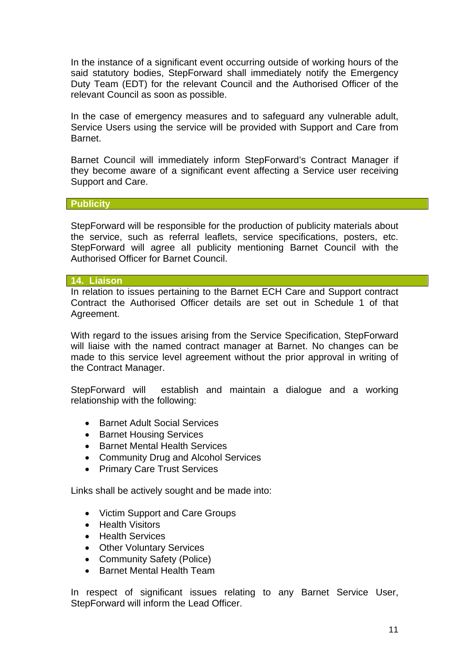In the instance of a significant event occurring outside of working hours of the said statutory bodies, StepForward shall immediately notify the Emergency Duty Team (EDT) for the relevant Council and the Authorised Officer of the relevant Council as soon as possible.

In the case of emergency measures and to safeguard any vulnerable adult, Service Users using the service will be provided with Support and Care from **Barnet** 

Barnet Council will immediately inform StepForward's Contract Manager if they become aware of a significant event affecting a Service user receiving Support and Care.

#### **Publicity**

StepForward will be responsible for the production of publicity materials about the service, such as referral leaflets, service specifications, posters, etc. StepForward will agree all publicity mentioning Barnet Council with the Authorised Officer for Barnet Council.

#### **14. Liaison**

In relation to issues pertaining to the Barnet ECH Care and Support contract Contract the Authorised Officer details are set out in Schedule 1 of that Agreement.

With regard to the issues arising from the Service Specification, StepForward will liaise with the named contract manager at Barnet. No changes can be made to this service level agreement without the prior approval in writing of the Contract Manager.

StepForward will establish and maintain a dialogue and a working relationship with the following:

- Barnet Adult Social Services
- Barnet Housing Services
- Barnet Mental Health Services
- Community Drug and Alcohol Services
- Primary Care Trust Services

Links shall be actively sought and be made into:

- Victim Support and Care Groups
- Health Visitors
- Health Services
- Other Voluntary Services
- Community Safety (Police)
- Barnet Mental Health Team

In respect of significant issues relating to any Barnet Service User, StepForward will inform the Lead Officer.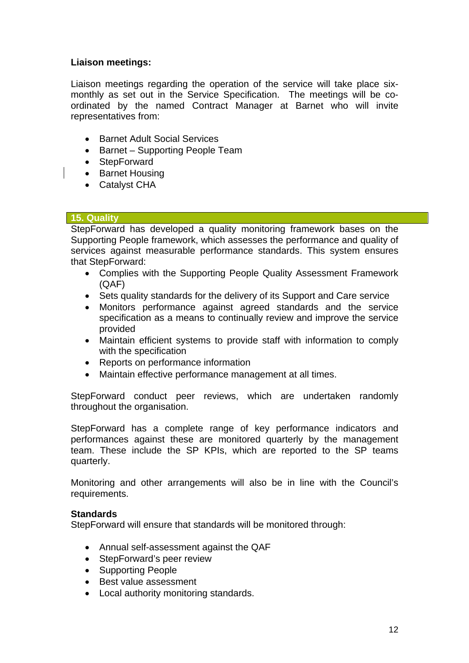### **Liaison meetings:**

Liaison meetings regarding the operation of the service will take place sixmonthly as set out in the Service Specification. The meetings will be coordinated by the named Contract Manager at Barnet who will invite representatives from:

- Barnet Adult Social Services
- Barnet Supporting People Team
- StepForward
- Barnet Housing
- Catalyst CHA

#### **15. Quality**

StepForward has developed a quality monitoring framework bases on the Supporting People framework, which assesses the performance and quality of services against measurable performance standards. This system ensures that StepForward:

- Complies with the Supporting People Quality Assessment Framework (QAF)
- Sets quality standards for the delivery of its Support and Care service
- Monitors performance against agreed standards and the service specification as a means to continually review and improve the service provided
- Maintain efficient systems to provide staff with information to comply with the specification
- Reports on performance information
- Maintain effective performance management at all times.

StepForward conduct peer reviews, which are undertaken randomly throughout the organisation.

StepForward has a complete range of key performance indicators and performances against these are monitored quarterly by the management team. These include the SP KPIs, which are reported to the SP teams quarterly.

Monitoring and other arrangements will also be in line with the Council's requirements.

#### **Standards**

StepForward will ensure that standards will be monitored through:

- Annual self-assessment against the QAF
- StepForward's peer review
- Supporting People
- Best value assessment
- Local authority monitoring standards.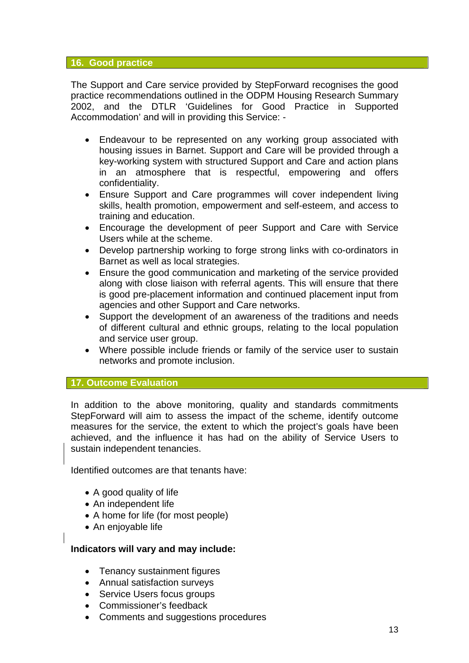#### **16. Good practice**

The Support and Care service provided by StepForward recognises the good practice recommendations outlined in the ODPM Housing Research Summary 2002, and the DTLR 'Guidelines for Good Practice in Supported Accommodation' and will in providing this Service: -

- Endeavour to be represented on any working group associated with housing issues in Barnet. Support and Care will be provided through a key-working system with structured Support and Care and action plans in an atmosphere that is respectful, empowering and offers confidentiality.
- Ensure Support and Care programmes will cover independent living skills, health promotion, empowerment and self-esteem, and access to training and education.
- Encourage the development of peer Support and Care with Service Users while at the scheme.
- Develop partnership working to forge strong links with co-ordinators in Barnet as well as local strategies.
- Ensure the good communication and marketing of the service provided along with close liaison with referral agents. This will ensure that there is good pre-placement information and continued placement input from agencies and other Support and Care networks.
- Support the development of an awareness of the traditions and needs of different cultural and ethnic groups, relating to the local population and service user group.
- Where possible include friends or family of the service user to sustain networks and promote inclusion.

#### **17. Outcome Evaluation**

In addition to the above monitoring, quality and standards commitments StepForward will aim to assess the impact of the scheme, identify outcome measures for the service, the extent to which the project's goals have been achieved, and the influence it has had on the ability of Service Users to sustain independent tenancies.

Identified outcomes are that tenants have:

- A good quality of life
- An independent life
- A home for life (for most people)
- An enjoyable life

#### **Indicators will vary and may include:**

- Tenancy sustainment figures
- Annual satisfaction surveys
- Service Users focus groups
- Commissioner's feedback
- Comments and suggestions procedures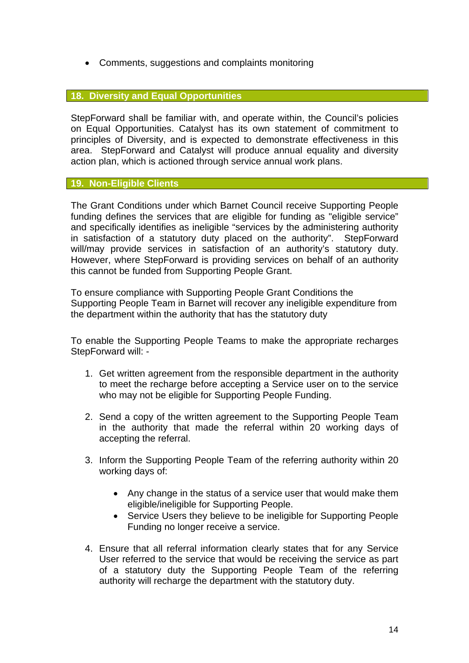• Comments, suggestions and complaints monitoring

#### **18. Diversity and Equal Opportunities**

StepForward shall be familiar with, and operate within, the Council's policies on Equal Opportunities. Catalyst has its own statement of commitment to principles of Diversity, and is expected to demonstrate effectiveness in this area. StepForward and Catalyst will produce annual equality and diversity action plan, which is actioned through service annual work plans.

#### **19. Non-Eligible Clients**

The Grant Conditions under which Barnet Council receive Supporting People funding defines the services that are eligible for funding as "eligible service" and specifically identifies as ineligible "services by the administering authority in satisfaction of a statutory duty placed on the authority". StepForward will/may provide services in satisfaction of an authority's statutory duty. However, where StepForward is providing services on behalf of an authority this cannot be funded from Supporting People Grant.

To ensure compliance with Supporting People Grant Conditions the Supporting People Team in Barnet will recover any ineligible expenditure from the department within the authority that has the statutory duty

To enable the Supporting People Teams to make the appropriate recharges StepForward will: -

- 1. Get written agreement from the responsible department in the authority to meet the recharge before accepting a Service user on to the service who may not be eligible for Supporting People Funding.
- 2. Send a copy of the written agreement to the Supporting People Team in the authority that made the referral within 20 working days of accepting the referral.
- 3. Inform the Supporting People Team of the referring authority within 20 working days of:
	- Any change in the status of a service user that would make them eligible/ineligible for Supporting People.
	- Service Users they believe to be ineligible for Supporting People Funding no longer receive a service.
- 4. Ensure that all referral information clearly states that for any Service User referred to the service that would be receiving the service as part of a statutory duty the Supporting People Team of the referring authority will recharge the department with the statutory duty.